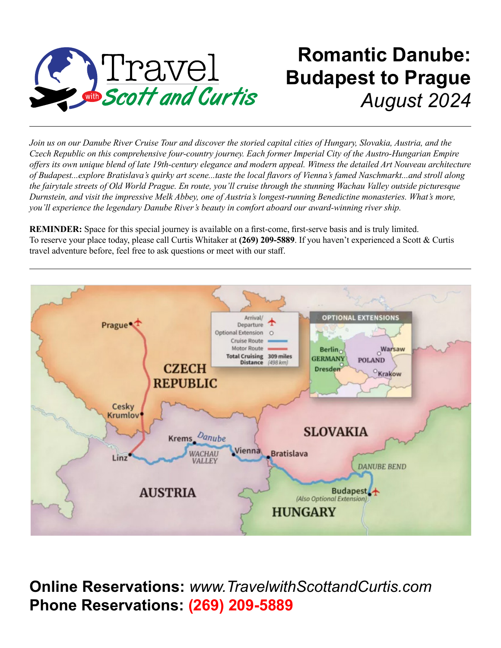

# **Romantic Danube: Budapest to Prague** *August 2024*

*Join us on our Danube River Cruise Tour and discover the storied capital cities of Hungary, Slovakia, Austria, and the Czech Republic on this comprehensive four-country journey. Each former Imperial City of the Austro-Hungarian Empire offers its own unique blend of late 19th-century elegance and modern appeal. Witness the detailed Art Nouveau architecture of Budapest...explore Bratislava's quirky art scene...taste the local flavors of Vienna's famed Naschmarkt...and stroll along the fairytale streets of Old World Prague. En route, you'll cruise through the stunning Wachau Valley outside picturesque Durnstein, and visit the impressive Melk Abbey, one of Austria's longest-running Benedictine monasteries. What's more, you'll experience the legendary Danube River's beauty in comfort aboard our award-winning river ship.* 

**REMINDER:** Space for this special journey is available on a first-come, first-serve basis and is truly limited. To reserve your place today, please call Curtis Whitaker at **(269) 209-5889**. If you haven't experienced a Scott & Curtis travel adventure before, feel free to ask questions or meet with our staff.



**Online Reservations:** *www.TravelwithScottandCurtis.com* **Phone Reservations: (269) 209-5889**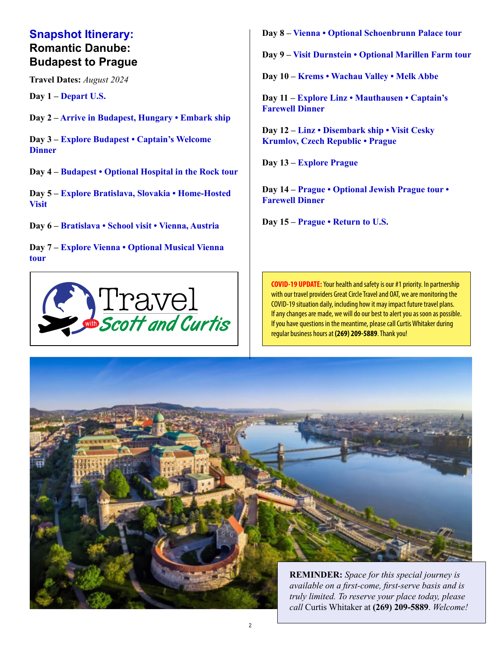### **Snapshot Itinerary: Romantic Danube: Budapest to Prague**

**Travel Dates:** *August 2024*

**Day 1 – Depart U.S.**

**Day 2 – Arrive in Budapest, Hungary • Embark ship**

**Day 3 – Explore Budapest • Captain's Welcome Dinner**

**Day 4 – Budapest • Optional Hospital in the Rock tour**

**Day 5 – Explore Bratislava, Slovakia • Home-Hosted Visit**

**Day 6 – Bratislava • School visit • Vienna, Austria**

**Day 7 – Explore Vienna • Optional Musical Vienna tour**



**Day 8 – Vienna • Optional Schoenbrunn Palace tour**

**Day 9 – Visit Durnstein • Optional Marillen Farm tour**

**Day 10 – Krems • Wachau Valley • Melk Abbe**

**Day 11 – Explore Linz • Mauthausen • Captain's Farewell Dinner**

**Day 12 – Linz • Disembark ship • Visit Cesky Krumlov, Czech Republic • Prague**

**Day 13 – Explore Prague**

**Day 14 – Prague • Optional Jewish Prague tour • Farewell Dinner**

**Day 15 – Prague • Return to U.S.**

**COVID-19 UPDATE:** Your health and safety is our #1 priority. In partnership with our travel providers Great Circle Travel and OAT, we are monitoring the COVID-19 situation daily, including how it may impact future travel plans. If any changes are made, we will do our best to alert you as soon as possible. If you have questions in the meantime, please call Curtis Whitaker during regular business hours at **(269) 209-5889**. Thank you!